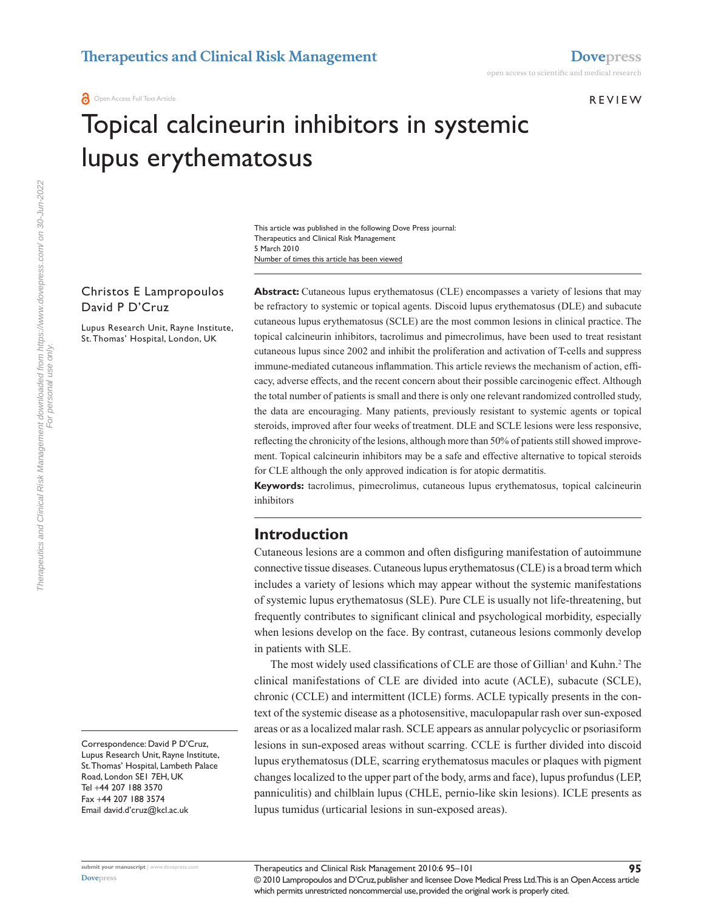**REVIEW** 

# Topical calcineurin inhibitors in systemic lupus erythematosus

Number of times this article has been viewed This article was published in the following Dove Press journal: Therapeutics and Clinical Risk Management 5 March 2010

## Christos E Lampropoulos David P D'Cruz

Lupus Research Unit, Rayne Institute, St. Thomas' Hospital, London, UK

Abstract: Cutaneous lupus erythematosus (CLE) encompasses a variety of lesions that may be refractory to systemic or topical agents. Discoid lupus erythematosus (DLE) and subacute cutaneous lupus erythematosus (SCLE) are the most common lesions in clinical practice. The topical calcineurin inhibitors, tacrolimus and pimecrolimus, have been used to treat resistant cutaneous lupus since 2002 and inhibit the proliferation and activation of T-cells and suppress immune-mediated cutaneous inflammation. This article reviews the mechanism of action, efficacy, adverse effects, and the recent concern about their possible carcinogenic effect. Although the total number of patients is small and there is only one relevant randomized controlled study, the data are encouraging. Many patients, previously resistant to systemic agents or topical steroids, improved after four weeks of treatment. DLE and SCLE lesions were less responsive, reflecting the chronicity of the lesions, although more than 50% of patients still showed improvement. Topical calcineurin inhibitors may be a safe and effective alternative to topical steroids for CLE although the only approved indication is for atopic dermatitis.

**Keywords:** tacrolimus, pimecrolimus, cutaneous lupus erythematosus, topical calcineurin inhibitors

## **Introduction**

Cutaneous lesions are a common and often disfiguring manifestation of autoimmune connective tissue diseases. Cutaneous lupus erythematosus (CLE) is a broad term which includes a variety of lesions which may appear without the systemic manifestations of systemic lupus erythematosus (SLE). Pure CLE is usually not life-threatening, but frequently contributes to significant clinical and psychological morbidity, especially when lesions develop on the face. By contrast, cutaneous lesions commonly develop in patients with SLE.

The most widely used classifications of CLE are those of Gillian<sup>1</sup> and Kuhn.<sup>2</sup> The clinical manifestations of CLE are divided into acute (ACLE), subacute (SCLE), chronic (CCLE) and intermittent (ICLE) forms. ACLE typically presents in the context of the systemic disease as a photosensitive, maculopapular rash over sun-exposed areas or as a localized malar rash. SCLE appears as annular polycyclic or psoriasiform lesions in sun-exposed areas without scarring. CCLE is further divided into discoid lupus erythematosus (DLE, scarring erythematosus macules or plaques with pigment changes localized to the upper part of the body, arms and face), lupus profundus (LEP, panniculitis) and chilblain lupus (CHLE, pernio-like skin lesions). ICLE presents as lupus tumidus (urticarial lesions in sun-exposed areas).

Correspondence: David P D'Cruz, Lupus Research Unit, Rayne Institute, St. Thomas' Hospital, Lambeth Palace Road, London SE1 7EH, UK Tel +44 207 188 3570 Fax +44 207 188 3574 Email david.d'cruz@kcl.ac.uk

For personal use only.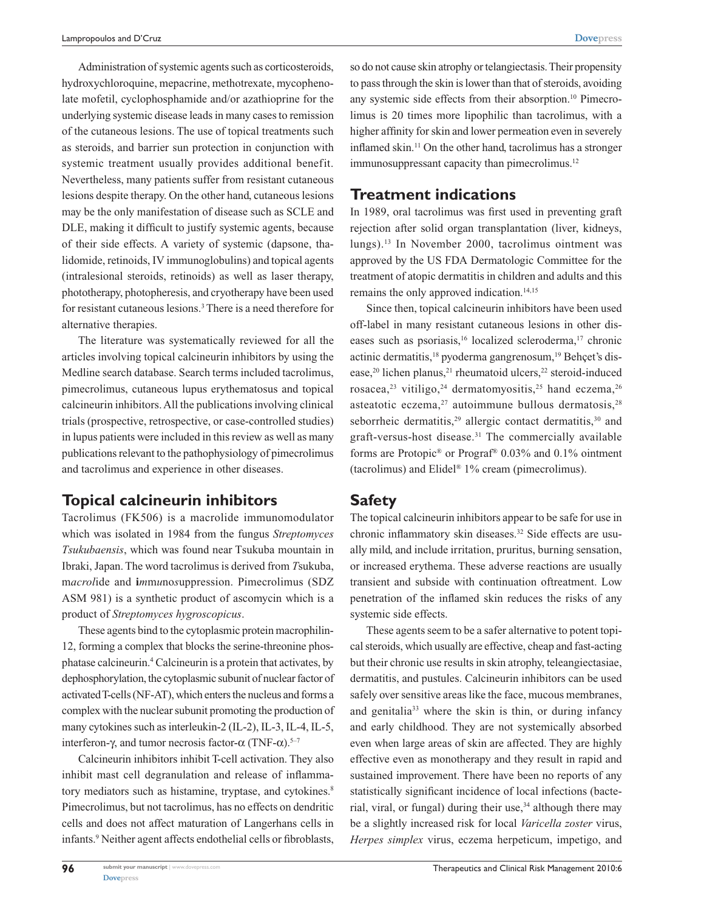Administration of systemic agents such as corticosteroids, hydroxychloroquine, mepacrine, methotrexate, mycophenolate mofetil, cyclophosphamide and/or azathioprine for the underlying systemic disease leads in many cases to remission of the cutaneous lesions. The use of topical treatments such as steroids, and barrier sun protection in conjunction with systemic treatment usually provides additional benefit. Nevertheless, many patients suffer from resistant cutaneous lesions despite therapy. On the other hand, cutaneous lesions may be the only manifestation of disease such as SCLE and DLE, making it difficult to justify systemic agents, because of their side effects. A variety of systemic (dapsone, thalidomide, retinoids, IV immunoglobulins) and topical agents (intralesional steroids, retinoids) as well as laser therapy, phototherapy, photopheresis, and cryotherapy have been used for resistant cutaneous lesions.<sup>3</sup> There is a need therefore for alternative therapies.

The literature was systematically reviewed for all the articles involving topical calcineurin inhibitors by using the Medline search database. Search terms included tacrolimus, pimecrolimus, cutaneous lupus erythematosus and topical calcineurin inhibitors. All the publications involving clinical trials (prospective, retrospective, or case-controlled studies) in lupus patients were included in this review as well as many publications relevant to the pathophysiology of pimecrolimus and tacrolimus and experience in other diseases.

## **Topical calcineurin inhibitors**

Tacrolimus (FK506) is a macrolide immunomodulator which was isolated in 1984 from the fungus *Streptomyces Tsukubaensis*, which was found near Tsukuba mountain in Ibraki, Japan. The word tacrolimus is derived from *T*sukuba, m*acrol*ide and **i***m*m*u*no*s*uppression. Pimecrolimus (SDZ ASM 981) is a synthetic product of ascomycin which is a product of *Streptomyces hygroscopicus*.

These agents bind to the cytoplasmic protein macrophilin-12, forming a complex that blocks the serine-threonine phosphatase calcineurin.4 Calcineurin is a protein that activates, by dephosphorylation, the cytoplasmic subunit of nuclear factor of activated T-cells (NF-AT), which enters the nucleus and forms a complex with the nuclear subunit promoting the production of many cytokines such as interleukin-2 (IL-2), IL-3, IL-4, IL-5, interferon-γ, and tumor necrosis factor- $\alpha$  (TNF- $\alpha$ ).<sup>5-7</sup>

Calcineurin inhibitors inhibit T-cell activation. They also inhibit mast cell degranulation and release of inflammatory mediators such as histamine, tryptase, and cytokines.<sup>8</sup> Pimecrolimus, but not tacrolimus, has no effects on dendritic cells and does not affect maturation of Langerhans cells in infants.9 Neither agent affects endothelial cells or fibroblasts, so do not cause skin atrophy or telangiectasis. Their propensity to pass through the skin is lower than that of steroids, avoiding any systemic side effects from their absorption.<sup>10</sup> Pimecrolimus is 20 times more lipophilic than tacrolimus, with a higher affinity for skin and lower permeation even in severely inflamed skin.<sup>11</sup> On the other hand, tacrolimus has a stronger immunosuppressant capacity than pimecrolimus.<sup>12</sup>

#### **Treatment indications**

In 1989, oral tacrolimus was first used in preventing graft rejection after solid organ transplantation (liver, kidneys, lungs).13 In November 2000, tacrolimus ointment was approved by the US FDA Dermatologic Committee for the treatment of atopic dermatitis in children and adults and this remains the only approved indication.<sup>14,15</sup>

Since then, topical calcineurin inhibitors have been used off-label in many resistant cutaneous lesions in other diseases such as psoriasis,<sup>16</sup> localized scleroderma,<sup>17</sup> chronic actinic dermatitis,<sup>18</sup> pyoderma gangrenosum,<sup>19</sup> Behçet's disease,<sup>20</sup> lichen planus,<sup>21</sup> rheumatoid ulcers,<sup>22</sup> steroid-induced rosacea,<sup>23</sup> vitiligo,<sup>24</sup> dermatomyositis,<sup>25</sup> hand eczema,<sup>26</sup> asteatotic eczema,<sup>27</sup> autoimmune bullous dermatosis,<sup>28</sup> seborrheic dermatitis,<sup>29</sup> allergic contact dermatitis,<sup>30</sup> and graft-versus-host disease.31 The commercially available forms are Protopic® or Prograf® 0.03% and 0.1% ointment (tacrolimus) and Elidel® 1% cream (pimecrolimus).

#### **Safety**

The topical calcineurin inhibitors appear to be safe for use in chronic inflammatory skin diseases.<sup>32</sup> Side effects are usually mild, and include irritation, pruritus, burning sensation, or increased erythema. These adverse reactions are usually transient and subside with continuation oftreatment. Low penetration of the inflamed skin reduces the risks of any systemic side effects.

These agents seem to be a safer alternative to potent topical steroids, which usually are effective, cheap and fast-acting but their chronic use results in skin atrophy, teleangiectasiae, dermatitis, and pustules. Calcineurin inhibitors can be used safely over sensitive areas like the face, mucous membranes, and genitalia<sup>33</sup> where the skin is thin, or during infancy and early childhood. They are not systemically absorbed even when large areas of skin are affected. They are highly effective even as monotherapy and they result in rapid and sustained improvement. There have been no reports of any statistically significant incidence of local infections (bacterial, viral, or fungal) during their use, $34$  although there may be a slightly increased risk for local *Varicella zoster* virus, *Herpes simplex* virus, eczema herpeticum, impetigo, and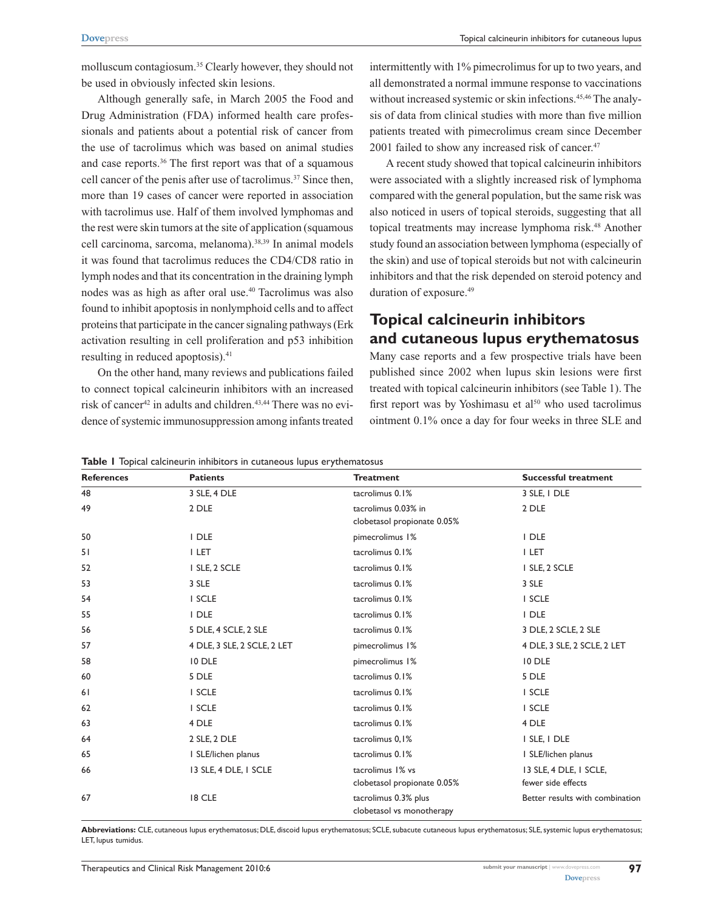molluscum contagiosum.<sup>35</sup> Clearly however, they should not be used in obviously infected skin lesions.

Although generally safe, in March 2005 the Food and Drug Administration (FDA) informed health care professionals and patients about a potential risk of cancer from the use of tacrolimus which was based on animal studies and case reports.36 The first report was that of a squamous cell cancer of the penis after use of tacrolimus.<sup>37</sup> Since then, more than 19 cases of cancer were reported in association with tacrolimus use. Half of them involved lymphomas and the rest were skin tumors at the site of application (squamous cell carcinoma, sarcoma, melanoma).38,39 In animal models it was found that tacrolimus reduces the CD4/CD8 ratio in lymph nodes and that its concentration in the draining lymph nodes was as high as after oral use.40 Tacrolimus was also found to inhibit apoptosis in nonlymphoid cells and to affect proteins that participate in the cancer signaling pathways (Erk activation resulting in cell proliferation and p53 inhibition resulting in reduced apoptosis).<sup>41</sup>

On the other hand, many reviews and publications failed to connect topical calcineurin inhibitors with an increased risk of cancer<sup>42</sup> in adults and children.<sup>43,44</sup> There was no evidence of systemic immunosuppression among infants treated

intermittently with 1% pimecrolimus for up to two years, and all demonstrated a normal immune response to vaccinations without increased systemic or skin infections.<sup>45,46</sup> The analysis of data from clinical studies with more than five million patients treated with pimecrolimus cream since December 2001 failed to show any increased risk of cancer.<sup>47</sup>

A recent study showed that topical calcineurin inhibitors were associated with a slightly increased risk of lymphoma compared with the general population, but the same risk was also noticed in users of topical steroids, suggesting that all topical treatments may increase lymphoma risk.<sup>48</sup> Another study found an association between lymphoma (especially of the skin) and use of topical steroids but not with calcineurin inhibitors and that the risk depended on steroid potency and duration of exposure.<sup>49</sup>

## **Topical calcineurin inhibitors and cutaneous lupus erythematosus**

Many case reports and a few prospective trials have been published since 2002 when lupus skin lesions were first treated with topical calcineurin inhibitors (see Table 1). The first report was by Yoshimasu et al<sup>50</sup> who used tacrolimus ointment 0.1% once a day for four weeks in three SLE and

|  |  |  |  |  |  | <b>Table I</b> Topical calcineurin inhibitors in cutaneous lupus erythematosus |
|--|--|--|--|--|--|--------------------------------------------------------------------------------|
|--|--|--|--|--|--|--------------------------------------------------------------------------------|

| <b>References</b> | <b>Patients</b>             | <b>Treatment</b>                                   | <b>Successful treatment</b>                  |
|-------------------|-----------------------------|----------------------------------------------------|----------------------------------------------|
| 48                | 3 SLE, 4 DLE                | tacrolimus 0.1%                                    | 3 SLE, I DLE                                 |
| 49                | 2 DLE                       | tacrolimus 0.03% in<br>clobetasol propionate 0.05% | 2 DLE                                        |
| 50                | I DLE                       | pimecrolimus 1%                                    | I DLE                                        |
| 51                | I LET                       | tacrolimus 0.1%                                    | I LET                                        |
| 52                | I SLE, 2 SCLE               | tacrolimus 0.1%                                    | I SLE, 2 SCLE                                |
| 53                | 3 SLE                       | tacrolimus 0.1%                                    | 3 SLE                                        |
| 54                | I SCLE                      | tacrolimus 0.1%                                    | I SCLE                                       |
| 55                | I DLE                       | tacrolimus 0.1%                                    | I DLE                                        |
| 56                | 5 DLE, 4 SCLE, 2 SLE        | tacrolimus 0.1%                                    | 3 DLE, 2 SCLE, 2 SLE                         |
| 57                | 4 DLE, 3 SLE, 2 SCLE, 2 LET | pimecrolimus 1%                                    | 4 DLE, 3 SLE, 2 SCLE, 2 LET                  |
| 58                | 10 DLE                      | pimecrolimus 1%                                    | 10 DLE                                       |
| 60                | 5 DLE                       | tacrolimus 0.1%                                    | 5 DLE                                        |
| 61                | I SCLE                      | tacrolimus 0.1%                                    | I SCLE                                       |
| 62                | I SCLE                      | tacrolimus 0.1%                                    | I SCLE                                       |
| 63                | 4 DLE                       | tacrolimus 0.1%                                    | 4 DLE                                        |
| 64                | 2 SLE, 2 DLE                | tacrolimus 0,1%                                    | I SLE, I DLE                                 |
| 65                | I SLE/lichen planus         | tacrolimus 0.1%                                    | I SLE/lichen planus                          |
| 66                | 13 SLE, 4 DLE, 1 SCLE       | tacrolimus 1% vs<br>clobetasol propionate 0.05%    | 13 SLE, 4 DLE, 1 SCLE,<br>fewer side effects |
| 67                | 18 CLE                      | tacrolimus 0.3% plus<br>clobetasol vs monotherapy  | Better results with combination              |

**Abbreviations:** CLE, cutaneous lupus erythematosus; DLE, discoid lupus erythematosus; SCLE, subacute cutaneous lupus erythematosus; SLE, systemic lupus erythematosus; LET, lupus tumidus.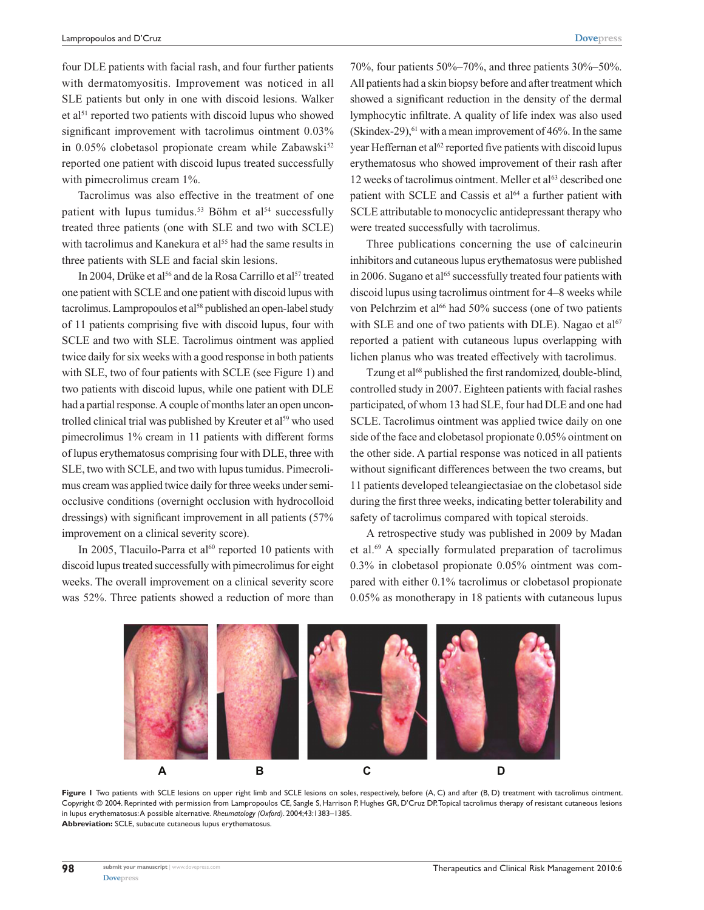four DLE patients with facial rash, and four further patients with dermatomyositis. Improvement was noticed in all SLE patients but only in one with discoid lesions. Walker et al<sup>51</sup> reported two patients with discoid lupus who showed significant improvement with tacrolimus ointment 0.03% in  $0.05\%$  clobetasol propionate cream while Zabawski<sup>52</sup> reported one patient with discoid lupus treated successfully with pimecrolimus cream  $1\%$ .

Tacrolimus was also effective in the treatment of one patient with lupus tumidus.<sup>53</sup> Böhm et al<sup>54</sup> successfully treated three patients (one with SLE and two with SCLE) with tacrolimus and Kanekura et al<sup>55</sup> had the same results in three patients with SLE and facial skin lesions.

In 2004, Drüke et al<sup>56</sup> and de la Rosa Carrillo et al<sup>57</sup> treated one patient with SCLE and one patient with discoid lupus with tacrolimus. Lampropoulos et al<sup>58</sup> published an open-label study of 11 patients comprising five with discoid lupus, four with SCLE and two with SLE. Tacrolimus ointment was applied twice daily for six weeks with a good response in both patients with SLE, two of four patients with SCLE (see Figure 1) and two patients with discoid lupus, while one patient with DLE had a partial response. A couple of months later an open uncontrolled clinical trial was published by Kreuter et al<sup>59</sup> who used pimecrolimus 1% cream in 11 patients with different forms of lupus erythematosus comprising four with DLE, three with SLE, two with SCLE, and two with lupus tumidus. Pimecrolimus cream was applied twice daily for three weeks under semiocclusive conditions (overnight occlusion with hydrocolloid dressings) with significant improvement in all patients (57% improvement on a clinical severity score).

In 2005, Tlacuilo-Parra et al $^{60}$  reported 10 patients with discoid lupus treated successfully with pimecrolimus for eight weeks. The overall improvement on a clinical severity score was 52%. Three patients showed a reduction of more than

70%, four patients 50%–70%, and three patients 30%–50%. All patients had a skin biopsy before and after treatment which showed a significant reduction in the density of the dermal lymphocytic infiltrate. A quality of life index was also used (Skindex-29), $61$  with a mean improvement of 46%. In the same year Heffernan et al<sup>62</sup> reported five patients with discoid lupus erythematosus who showed improvement of their rash after 12 weeks of tacrolimus ointment. Meller et al<sup>63</sup> described one patient with SCLE and Cassis et al<sup>64</sup> a further patient with SCLE attributable to monocyclic antidepressant therapy who were treated successfully with tacrolimus.

Three publications concerning the use of calcineurin inhibitors and cutaneous lupus erythematosus were published in 2006. Sugano et al<sup>65</sup> successfully treated four patients with discoid lupus using tacrolimus ointment for 4–8 weeks while von Pelchrzim et al<sup>66</sup> had 50% success (one of two patients with SLE and one of two patients with DLE). Nagao et  $al<sup>67</sup>$ reported a patient with cutaneous lupus overlapping with lichen planus who was treated effectively with tacrolimus.

Tzung et al<sup>68</sup> published the first randomized, double-blind, controlled study in 2007. Eighteen patients with facial rashes participated, of whom 13 had SLE, four had DLE and one had SCLE. Tacrolimus ointment was applied twice daily on one side of the face and clobetasol propionate 0.05% ointment on the other side. A partial response was noticed in all patients without significant differences between the two creams, but 11 patients developed teleangiectasiae on the clobetasol side during the first three weeks, indicating better tolerability and safety of tacrolimus compared with topical steroids.

A retrospective study was published in 2009 by Madan et al.69 A specially formulated preparation of tacrolimus 0.3% in clobetasol propionate 0.05% ointment was compared with either 0.1% tacrolimus or clobetasol propionate 0.05% as monotherapy in 18 patients with cutaneous lupus



Figure I Two patients with SCLE lesions on upper right limb and SCLE lesions on soles, respectively, before (A, C) and after (B, D) treatment with tacrolimus ointment. Copyright © 2004. Reprinted with permission from Lampropoulos CE, Sangle S, Harrison P, Hughes GR, D'Cruz DP. Topical tacrolimus therapy of resistant cutaneous lesions in lupus erythematosus: A possible alternative. *Rheumatology (Oxford)*. 2004;43:1383–1385. **Abbreviation:** SCLE, subacute cutaneous lupus erythematosus.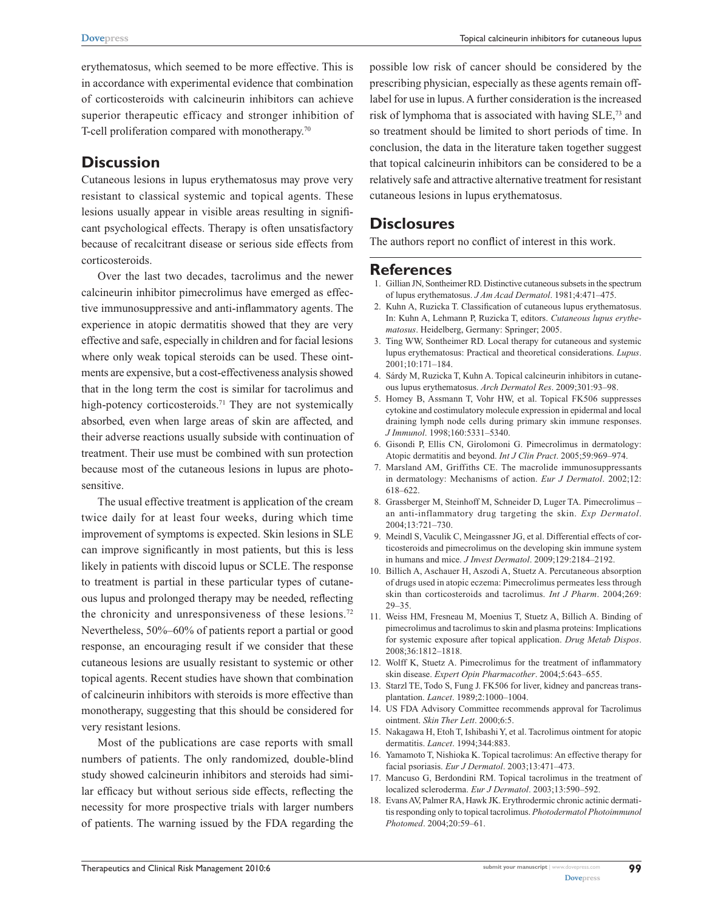erythematosus, which seemed to be more effective. This is in accordance with experimental evidence that combination of corticosteroids with calcineurin inhibitors can achieve superior therapeutic efficacy and stronger inhibition of T-cell proliferation compared with monotherapy.<sup>70</sup>

## **Discussion**

Cutaneous lesions in lupus erythematosus may prove very resistant to classical systemic and topical agents. These lesions usually appear in visible areas resulting in significant psychological effects. Therapy is often unsatisfactory because of recalcitrant disease or serious side effects from corticosteroids.

Over the last two decades, tacrolimus and the newer calcineurin inhibitor pimecrolimus have emerged as effective immunosuppressive and anti-inflammatory agents. The experience in atopic dermatitis showed that they are very effective and safe, especially in children and for facial lesions where only weak topical steroids can be used. These ointments are expensive, but a cost-effectiveness analysis showed that in the long term the cost is similar for tacrolimus and high-potency corticosteroids.<sup>71</sup> They are not systemically absorbed, even when large areas of skin are affected, and their adverse reactions usually subside with continuation of treatment. Their use must be combined with sun protection because most of the cutaneous lesions in lupus are photosensitive.

The usual effective treatment is application of the cream twice daily for at least four weeks, during which time improvement of symptoms is expected. Skin lesions in SLE can improve significantly in most patients, but this is less likely in patients with discoid lupus or SCLE. The response to treatment is partial in these particular types of cutaneous lupus and prolonged therapy may be needed, reflecting the chronicity and unresponsiveness of these lesions.<sup>72</sup> Nevertheless, 50%–60% of patients report a partial or good response, an encouraging result if we consider that these cutaneous lesions are usually resistant to systemic or other topical agents. Recent studies have shown that combination of calcineurin inhibitors with steroids is more effective than monotherapy, suggesting that this should be considered for very resistant lesions.

Most of the publications are case reports with small numbers of patients. The only randomized, double-blind study showed calcineurin inhibitors and steroids had similar efficacy but without serious side effects, reflecting the necessity for more prospective trials with larger numbers of patients. The warning issued by the FDA regarding the

possible low risk of cancer should be considered by the prescribing physician, especially as these agents remain offlabel for use in lupus. A further consideration is the increased risk of lymphoma that is associated with having SLE,73 and so treatment should be limited to short periods of time. In conclusion, the data in the literature taken together suggest that topical calcineurin inhibitors can be considered to be a relatively safe and attractive alternative treatment for resistant cutaneous lesions in lupus erythematosus.

## **Disclosures**

The authors report no conflict of interest in this work.

### **References**

- 1. Gillian JN, Sontheimer RD. Distinctive cutaneous subsets in the spectrum of lupus erythematosus. *J Am Acad Dermatol*. 1981;4:471–475.
- 2. Kuhn A, Ruzicka T. Classification of cutaneous lupus erythematosus. In: Kuhn A, Lehmann P, Ruzicka T, editors. *Cutaneous lupus erythematosus*. Heidelberg, Germany: Springer; 2005.
- 3. Ting WW, Sontheimer RD. Local therapy for cutaneous and systemic lupus erythematosus: Practical and theoretical considerations. *Lupus*. 2001;10:171–184.
- 4. Sárdy M, Ruzicka T, Kuhn A. Topical calcineurin inhibitors in cutaneous lupus erythematosus. *Arch Dermatol Res*. 2009;301:93–98.
- 5. Homey B, Assmann T, Vohr HW, et al. Topical FK506 suppresses cytokine and costimulatory molecule expression in epidermal and local draining lymph node cells during primary skin immune responses. *J Immunol*. 1998;160:5331–5340.
- 6. Gisondi P, Ellis CN, Girolomoni G. Pimecrolimus in dermatology: Atopic dermatitis and beyond. *Int J Clin Pract*. 2005;59:969–974.
- 7. Marsland AM, Griffiths CE. The macrolide immunosuppressants in dermatology: Mechanisms of action. *Eur J Dermatol*. 2002;12: 618–622.
- 8. Grassberger M, Steinhoff M, Schneider D, Luger TA. Pimecrolimus an anti-inflammatory drug targeting the skin. *Exp Dermatol*. 2004;13:721–730.
- 9. Meindl S, Vaculik C, Meingassner JG, et al. Differential effects of corticosteroids and pimecrolimus on the developing skin immune system in humans and mice. *J Invest Dermatol*. 2009;129:2184–2192.
- 10. Billich A, Aschauer H, Aszodi A, Stuetz A. Percutaneous absorption of drugs used in atopic eczema: Pimecrolimus permeates less through skin than corticosteroids and tacrolimus. *Int J Pharm*. 2004;269: 29–35.
- 11. Weiss HM, Fresneau M, Moenius T, Stuetz A, Billich A. Binding of pimecrolimus and tacrolimus to skin and plasma proteins: Implications for systemic exposure after topical application. *Drug Metab Dispos*. 2008;36:1812–1818.
- 12. Wolff K, Stuetz A. Pimecrolimus for the treatment of inflammatory skin disease. *Expert Opin Pharmacother*. 2004;5:643–655.
- 13. Starzl TE, Todo S, Fung J. FK506 for liver, kidney and pancreas transplantation. *Lancet*. 1989;2:1000–1004.
- 14. US FDA Advisory Committee recommends approval for Tacrolimus ointment. *Skin Ther Lett*. 2000;6:5.
- 15. Nakagawa H, Etoh T, Ishibashi Y, et al. Tacrolimus ointment for atopic dermatitis. *Lancet*. 1994;344:883.
- 16. Yamamoto T, Nishioka K. Topical tacrolimus: An effective therapy for facial psoriasis. *Eur J Dermatol*. 2003;13:471–473.
- 17. Mancuso G, Berdondini RM. Topical tacrolimus in the treatment of localized scleroderma. *Eur J Dermatol*. 2003;13:590–592.
- 18. Evans AV, Palmer RA, Hawk JK. Erythrodermic chronic actinic dermatitis responding only to topical tacrolimus. *Photodermatol Photoimmunol Photomed*. 2004;20:59–61.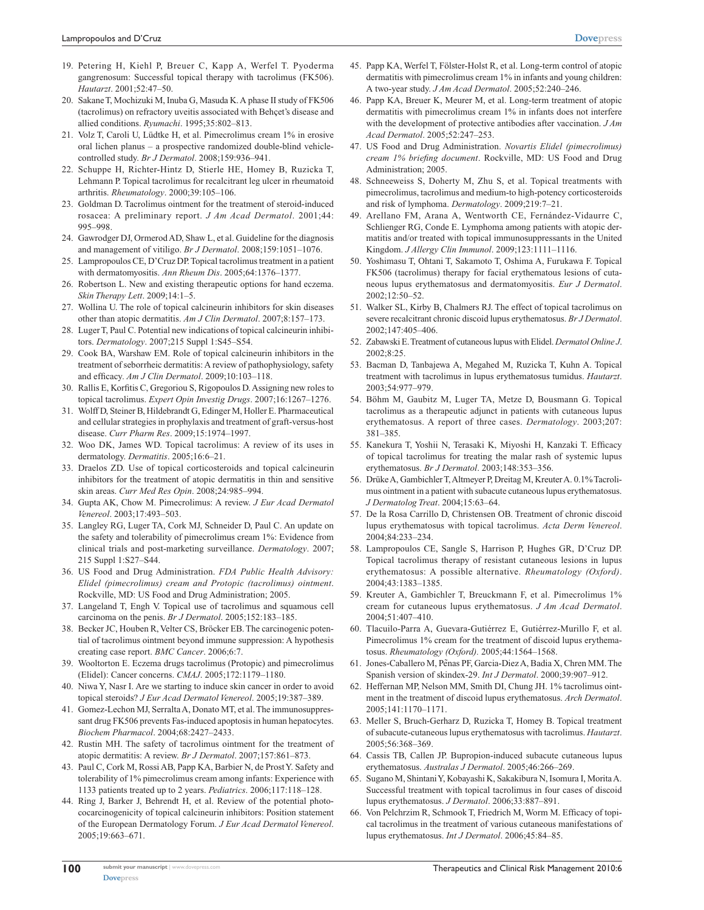- 19. Petering H, Kiehl P, Breuer C, Kapp A, Werfel T. Pyoderma gangrenosum: Successful topical therapy with tacrolimus (FK506). *Hautarzt*. 2001;52:47–50.
- 20. Sakane T, Mochizuki M, Inuba G, Masuda K. A phase II study of FK506 (tacrolimus) on refractory uveitis associated with Behçet's disease and allied conditions. *Ryumachi*. 1995;35:802–813.
- 21. Volz T, Caroli U, Lüdtke H, et al. Pimecrolimus cream 1% in erosive oral lichen planus – a prospective randomized double-blind vehiclecontrolled study. *Br J Dermatol*. 2008;159:936–941.
- 22. Schuppe H, Richter-Hintz D, Stierle HE, Homey B, Ruzicka T, Lehmann P. Topical tacrolimus for recalcitrant leg ulcer in rheumatoid arthritis. *Rheumatology*. 2000;39:105–106.
- 23. Goldman D. Tacrolimus ointment for the treatment of steroid-induced rosacea: A preliminary report. *J Am Acad Dermatol*. 2001;44: 995–998.
- 24. Gawrodger DJ, Ormerod AD, Shaw L, et al. Guideline for the diagnosis and management of vitiligo. *Br J Dermatol*. 2008;159:1051–1076.
- 25. Lampropoulos CE, D'Cruz DP. Topical tacrolimus treatment in a patient with dermatomyositis. *Ann Rheum Dis*. 2005;64:1376–1377.
- 26. Robertson L. New and existing therapeutic options for hand eczema. *Skin Therapy Lett*. 2009;14:1–5.
- 27. Wollina U. The role of topical calcineurin inhibitors for skin diseases other than atopic dermatitis. *Am J Clin Dermatol*. 2007;8:157–173.
- 28. Luger T, Paul C. Potential new indications of topical calcineurin inhibitors. *Dermatology*. 2007;215 Suppl 1:S45–S54.
- 29. Cook BA, Warshaw EM. Role of topical calcineurin inhibitors in the treatment of seborrheic dermatitis: A review of pathophysiology, safety and efficacy*. Am J Clin Dermatol*. 2009;10:103–118.
- 30. Rallis E, Korfitis C, Gregoriou S, Rigopoulos D. Assigning new roles to topical tacrolimus. *Expert Opin Investig Drugs*. 2007;16:1267–1276.
- 31. Wolff D, Steiner B, Hildebrandt G, Edinger M, Holler E. Pharmaceutical and cellular strategies in prophylaxis and treatment of graft-versus-host disease. *Curr Pharm Res*. 2009;15:1974–1997.
- 32. Woo DK, James WD. Topical tacrolimus: A review of its uses in dermatology. *Dermatitis*. 2005;16:6–21.
- 33. Draelos ZD. Use of topical corticosteroids and topical calcineurin inhibitors for the treatment of atopic dermatitis in thin and sensitive skin areas. *Curr Med Res Opin*. 2008;24:985–994.
- 34. Gupta AK, Chow M. Pimecrolimus: A review. *J Eur Acad Dermatol Venereol*. 2003;17:493–503.
- 35. Langley RG, Luger TA, Cork MJ, Schneider D, Paul C. An update on the safety and tolerability of pimecrolimus cream 1%: Evidence from clinical trials and post-marketing surveillance. *Dermatology*. 2007; 215 Suppl 1:S27–S44.
- 36. US Food and Drug Administration. *FDA Public Health Advisory: Elidel (pimecrolimus) cream and Protopic (tacrolimus) ointment*. Rockville, MD: US Food and Drug Administration; 2005.
- 37. Langeland T, Engh V. Topical use of tacrolimus and squamous cell carcinoma on the penis. *Br J Dermatol*. 2005;152:183–185.
- 38. Becker JC, Houben R, Velter CS, Bröcker EB. The carcinogenic potential of tacrolimus ointment beyond immune suppression: A hypothesis creating case report. *BMC Cancer*. 2006;6:7.
- 39. Wooltorton E. Eczema drugs tacrolimus (Protopic) and pimecrolimus (Elidel): Cancer concerns. *CMAJ*. 2005;172:1179–1180.
- 40. Niwa Y, Nasr I. Are we starting to induce skin cancer in order to avoid topical steroids? *J Eur Acad Dermatol Venereol*. 2005;19:387–389.
- 41. Gomez-Lechon MJ, Serralta A, Donato MT, et al. The immunosuppressant drug FK506 prevents Fas-induced apoptosis in human hepatocytes. *Biochem Pharmacol*. 2004;68:2427–2433.
- 42. Rustin MH. The safety of tacrolimus ointment for the treatment of atopic dermatitis: A review. *Br J Dermatol*. 2007;157:861–873.
- 43. Paul C, Cork M, Rossi AB, Papp KA, Barbier N, de Prost Y. Safety and tolerability of 1% pimecrolimus cream among infants: Experience with 1133 patients treated up to 2 years. *Pediatrics*. 2006;117:118–128.
- 44. Ring J, Barker J, Behrendt H, et al. Review of the potential photococarcinogenicity of topical calcineurin inhibitors: Position statement of the European Dermatology Forum. *J Eur Acad Dermatol Venereol*. 2005;19:663–671.
- 45. Papp KA, Werfel T, Fölster-Holst R, et al. Long-term control of atopic dermatitis with pimecrolimus cream 1% in infants and young children: A two-year study. *J Am Acad Dermatol*. 2005;52:240–246.
- 46. Papp KA, Breuer K, Meurer M, et al. Long-term treatment of atopic dermatitis with pimecrolimus cream 1% in infants does not interfere with the development of protective antibodies after vaccination. *J Am Acad Dermatol*. 2005;52:247–253.
- 47. US Food and Drug Administration. *Novartis Elidel (pimecrolimus) cream 1% briefing document*. Rockville, MD: US Food and Drug Administration; 2005.
- 48. Schneeweiss S, Doherty M, Zhu S, et al. Topical treatments with pimecrolimus, tacrolimus and medium-to high-potency corticosteroids and risk of lymphoma. *Dermatology*. 2009;219:7–21.
- 49. Arellano FM, Arana A, Wentworth CE, Fernández-Vidaurre C, Schlienger RG, Conde E. Lymphoma among patients with atopic dermatitis and/or treated with topical immunosuppressants in the United Kingdom. *J Allergy Clin Immunol*. 2009;123:1111–1116.
- 50. Yoshimasu T, Ohtani T, Sakamoto T, Oshima A, Furukawa F. Topical FK506 (tacrolimus) therapy for facial erythematous lesions of cutaneous lupus erythematosus and dermatomyositis. *Eur J Dermatol*. 2002;12:50–52.
- 51. Walker SL, Kirby B, Chalmers RJ. The effect of topical tacrolimus on severe recalcitrant chronic discoid lupus erythematosus. *Br J Dermatol*. 2002;147:405–406.
- 52. Zabawski E. Treatment of cutaneous lupus with Elidel. *Dermatol Online J*. 2002;8:25.
- 53. Bacman D, Tanbajewa A, Megahed M, Ruzicka T, Kuhn A. Topical treatment with tacrolimus in lupus erythematosus tumidus. *Hautarzt*. 2003;54:977–979.
- 54. Böhm M, Gaubitz M, Luger TA, Metze D, Bousmann G. Topical tacrolimus as a therapeutic adjunct in patients with cutaneous lupus erythematosus. A report of three cases. *Dermatology*. 2003;207: 381–385.
- 55. Kanekura T, Yoshii N, Terasaki K, Miyoshi H, Kanzaki T. Efficacy of topical tacrolimus for treating the malar rash of systemic lupus erythematosus. *Br J Dermatol*. 2003;148:353–356.
- 56. Drüke A, Gambichler T, Altmeyer P, Dreitag M, Kreuter A. 0.1% Tacrolimus ointment in a patient with subacute cutaneous lupus erythematosus. *J Dermatolog Treat*. 2004;15:63–64.
- 57. De la Rosa Carrillo D, Christensen OB. Treatment of chronic discoid lupus erythematosus with topical tacrolimus. *Acta Derm Venereol*. 2004;84:233–234.
- 58. Lampropoulos CE, Sangle S, Harrison P, Hughes GR, D'Cruz DP. Topical tacrolimus therapy of resistant cutaneous lesions in lupus erythematosus: A possible alternative. *Rheumatology (Oxford)*. 2004;43:1383–1385.
- 59. Kreuter A, Gambichler T, Breuckmann F, et al. Pimecrolimus 1% cream for cutaneous lupus erythematosus. *J Am Acad Dermatol*. 2004;51:407–410.
- 60. Tlacuilo-Parra A, Guevara-Gutiérrez E, Gutiérrez-Murillo F, et al. Pimecrolimus 1% cream for the treatment of discoid lupus erythematosus. *Rheumatology (Oxford).* 2005;44:1564–1568.
- 61. Jones-Caballero M, Penas PF, Garcia-Diez A, Badia X, Chren MM. The Spanish version of skindex-29. *Int J Dermatol*. 2000;39:907–912.
- 62. Heffernan MP, Nelson MM, Smith DI, Chung JH. 1% tacrolimus ointment in the treatment of discoid lupus erythematosus. *Arch Dermatol*. 2005;141:1170–1171.
- 63. Meller S, Bruch-Gerharz D, Ruzicka T, Homey B. Topical treatment of subacute-cutaneous lupus erythematosus with tacrolimus. *Hautarzt*. 2005;56:368–369.
- 64. Cassis TB, Callen JP. Bupropion-induced subacute cutaneous lupus erythematosus. *Australas J Dermatol*. 2005;46:266–269.
- 65. Sugano M, Shintani Y, Kobayashi K, Sakakibura N, Isomura I, Morita A. Successful treatment with topical tacrolimus in four cases of discoid lupus erythematosus. *J Dermatol*. 2006;33:887–891.
- 66. Von Pelchrzim R, Schmook T, Friedrich M, Worm M. Efficacy of topical tacrolimus in the treatment of various cutaneous manifestations of lupus erythematosus. *Int J Dermatol*. 2006;45:84–85.